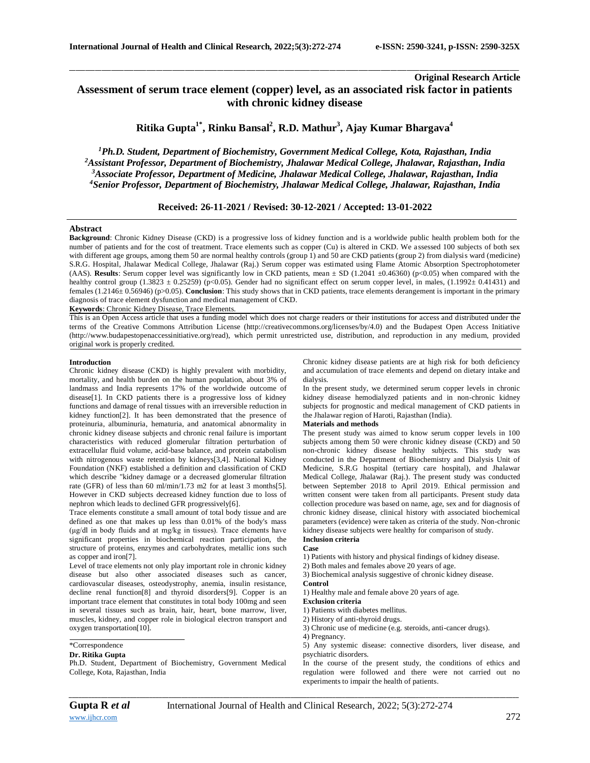# **Original Research Article Assessment of serum trace element (copper) level, as an associated risk factor in patients with chronic kidney disease**

\_\_\_\_\_\_\_\_\_\_\_\_\_\_\_\_\_\_\_\_\_\_\_\_\_\_\_\_\_\_\_\_\_\_\_\_\_\_\_\_\_\_\_\_\_\_\_\_\_\_\_\_\_\_\_\_\_\_\_\_\_\_\_\_\_\_\_\_\_\_\_\_\_\_\_\_\_\_\_\_\_\_\_\_\_\_\_\_\_\_\_\_\_\_\_\_\_\_\_\_\_\_\_\_\_\_\_\_\_\_\_\_\_\_\_\_\_\_\_\_\_\_\_\_\_\_\_\_\_\_\_\_\_\_\_\_\_\_\_\_

**Ritika Gupta1\* , Rinku Bansal<sup>2</sup> , R.D. Mathur<sup>3</sup> , Ajay Kumar Bhargava<sup>4</sup>**

*Ph.D. Student, Department of Biochemistry, Government Medical College, Kota, Rajasthan, India Assistant Professor, Department of Biochemistry, Jhalawar Medical College, Jhalawar, Rajasthan, India Associate Professor, Department of Medicine, Jhalawar Medical College, Jhalawar, Rajasthan, India Senior Professor, Department of Biochemistry, Jhalawar Medical College, Jhalawar, Rajasthan, India*

## **Received: 26-11-2021 / Revised: 30-12-2021 / Accepted: 13-01-2022**

### **Abstract**

**Background**: Chronic Kidney Disease (CKD) is a progressive loss of kidney function and is a worldwide public health problem both for the number of patients and for the cost of treatment. Trace elements such as copper (Cu) is altered in CKD. We a ssessed 100 subjects of both sex with different age groups, among them 50 are normal healthy controls (group 1) and 50 are CKD patients (group 2) from dialysis ward (medicine) S.R.G. Hospital, Jhalawar Medical College, Jhalawar (Raj.) Serum copper was estimated using Flame Atomic Absorption Spectrophotometer (AAS). **Results**: Serum copper level was significantly low in CKD patients, mean  $\pm$  SD (1.2041  $\pm$ 0.46360) (p<0.05) when compared with the healthy control group (1.3823  $\pm$  0.25259) (p<0.05). Gender had no significant effect on serum copper level, in males, (1.1992 $\pm$  0.41431) and females (1.2146± 0.56946) (p>0.05). **Conclusion**: This study shows that in CKD patients, trace elements derangement is important in the primary diagnosis of trace element dysfunction and medical management of CKD.

**Keywords**: Chronic Kidney Disease, Trace Elements.

This is an Open Access article that uses a funding model which does not charge readers or their institutions for access and distributed under the terms of the Creative Commons Attribution License (http://creativecommons.org/licenses/by/4.0) and the Budapest Open Access Initiative (http://www.budapestopenaccessinitiative.org/read), which permit unrestricted use, distribution, and reproduction in any medium, provided original work is properly credited.

#### **Introduction**

Chronic kidney disease (CKD) is highly prevalent with morbidity, mortality, and health burden on the human population, about 3% of landmass and India represents 17% of the worldwide outcome of disease[1]. In CKD patients there is a progressive loss of kidney functions and damage of renal tissues with an irreversible reduction in kidney function[2]. It has been demonstrated that the presence of proteinuria, albuminuria, hematuria, and anatomical abnormality in chronic kidney disease subjects and chronic renal failure is important characteristics with reduced glomerular filtration perturbation of extracellular fluid volume, acid-base balance, and protein catabolism with nitrogenous waste retention by kidneys[3,4]. National Kidney Foundation (NKF) established a definition and classification of CKD which describe "kidney damage or a decreased glomerular filtration rate (GFR) of less than 60 ml/min/1.73 m2 for at least 3 months[5]. However in CKD subjects decreased kidney function due to loss of nephron which leads to declined GFR progressively[6].

Trace elements constitute a small amount of total body tissue and are defined as one that makes up less than 0.01% of the body's mass (μg/dl in body fluids and at mg/kg in tissues). Trace elements have significant properties in biochemical reaction participation, the structure of proteins, enzymes and carbohydrates, metallic ions such as copper and iron[7].

Level of trace elements not only play important role in chronic kidney disease but also other associated diseases such as cancer, cardiovascular diseases, osteodystrophy, anemia, insulin resistance, decline renal function[8] and thyroid disorders[9]. Copper is an important trace element that constitutes in total body 100mg and seen in several tissues such as brain, hair, heart, bone marrow, liver, muscles, kidney, and copper role in biological electron transport and oxygen transportation[10].

## \*Correspondence

## **Dr. Ritika Gupta**

Ph.D. Student, Department of Biochemistry, Government Medical College, Kota, Rajasthan, India

Chronic kidney disease patients are at high risk for both deficiency and accumulation of trace elements and depend on dietary intake and dialysis.

In the present study, we determined serum copper levels in chronic kidney disease hemodialyzed patients and in non-chronic kidney subjects for prognostic and medical management of CKD patients in the Jhalawar region of Haroti, Rajasthan (India).

## **Materials and methods**

The present study was aimed to know serum copper levels in 100 subjects among them 50 were chronic kidney disease (CKD) and 50 non-chronic kidney disease healthy subjects. This study was conducted in the Department of Biochemistry and Dialysis Unit of Medicine, S.R.G hospital (tertiary care hospital), and Jhalawar Medical College, Jhalawar (Raj.). The present study was conducted between September 2018 to April 2019. Ethical permission and written consent were taken from all participants. Present study data collection procedure was based on name, age, sex and for diagnosis of chronic kidney disease, clinical history with associated biochemical parameters (evidence) were taken as criteria of the study. Non-chronic kidney disease subjects were healthy for comparison of study. **Inclusion criteria**

# **Case**

1) Patients with history and physical findings of kidney disease.

2) Both males and females above 20 years of age.

3) Biochemical analysis suggestive of chronic kidney disease.

#### **Control**

1) Healthy male and female above 20 years of age.

**Exclusion criteria**

- 1) Patients with diabetes mellitus.
- 2) History of anti-thyroid drugs.
- 3) Chronic use of medicine (e.g. steroids, anti-cancer drugs).
- 4) Pregnancy.

5) Any systemic disease: connective disorders, liver disease, and psychiatric disorders.

In the course of the present study, the conditions of ethics and regulation were followed and there were not carried out no experiments to impair the health of patients.

*\_\_\_\_\_\_\_\_\_\_\_\_\_\_\_\_\_\_\_\_\_\_\_\_\_\_\_\_\_\_\_\_\_\_\_\_\_\_\_\_\_\_\_\_\_\_\_\_\_\_\_\_\_\_\_\_\_\_\_\_\_\_\_\_\_\_\_\_\_\_\_\_\_\_\_\_\_\_\_\_\_\_\_\_\_\_\_\_\_\_\_\_\_\_\_\_\_\_\_\_\_\_\_\_\_\_\_\_\_\_\_\_\_\_\_\_\_\_\_\_\_\_\_\_\_\_\_\_\_\_\_\_\_\_\_\_\_\_\_\_*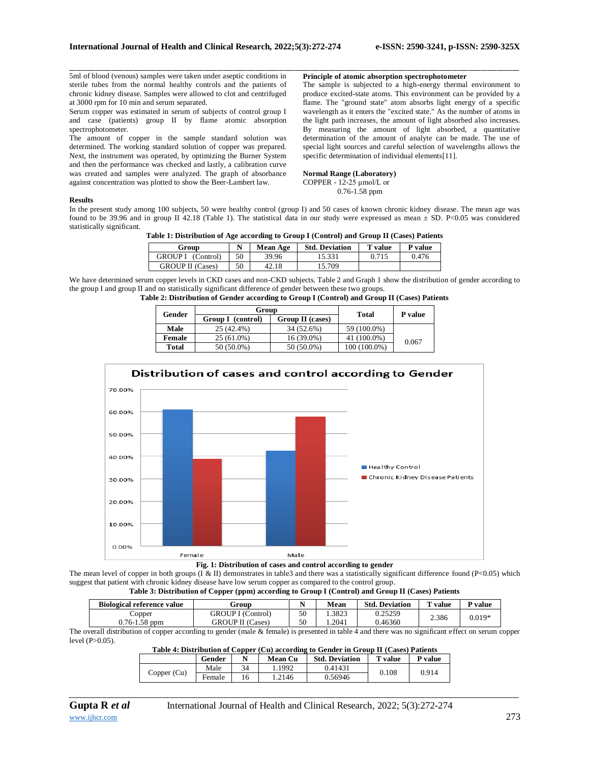\_\_\_\_\_\_\_\_\_\_\_\_\_\_\_\_\_\_\_\_\_\_\_\_\_\_\_\_\_\_\_\_\_\_\_\_\_\_\_\_\_\_\_\_\_\_\_\_\_\_\_\_\_\_\_\_\_\_\_\_\_\_\_\_\_\_\_\_\_\_\_\_\_\_\_\_\_\_\_\_\_\_\_\_\_\_\_\_\_\_\_\_\_\_\_\_\_\_\_\_\_\_\_\_\_\_\_\_\_\_\_\_\_\_\_\_\_\_\_\_\_\_\_\_\_\_\_\_\_\_\_\_\_\_\_\_\_\_\_\_ 5ml of blood (venous) samples were taken under aseptic conditions in sterile tubes from the normal healthy controls and the patients of chronic kidney disease. Samples were allowed to clot and centrifuged at 3000 rpm for 10 min and serum separated.

Serum copper was estimated in serum of subjects of control group I and case (patients) group II by flame atomic absorption spectrophotometer.

The amount of copper in the sample standard solution was determined. The working standard solution of copper was prepared. Next, the instrument was operated, by optimizing the Burner System and then the performance was checked and lastly, a calibration curve was created and samples were analyzed. The graph of absorbance against concentration was plotted to show the Beer-Lambert law.

### **Principle of atomic absorption spectrophotometer**

The sample is subjected to a high-energy thermal environment to produce excited-state atoms. This environment can be provided by a flame. The "ground state" atom absorbs light energy of a specific wavelength as it enters the "excited state." As the number of atoms in the light path increases, the amount of light absorbed also increases. By measuring the amount of light absorbed, a quantitative determination of the amount of analyte can be made. The use of special light sources and careful selection of wavelengths allows the specific determination of individual elements[11].

#### **Normal Range (Laboratory)** COPPER - 12-25 μmol/L or 0.76-1.58 ppm

#### **Results**

In the present study among 100 subjects, 50 were healthy control (group I) and 50 cases of known chronic kidney disease. The mean age was found to be 39.96 and in group II 42.18 (Table 1). The statistical data in our study were expressed as mean  $\pm$  SD. P<0.05 was considered statistically significant.

| Group                   | N  | <b>Mean Age</b> | <b>Std. Deviation</b> | <b>T</b> value | P value |
|-------------------------|----|-----------------|-----------------------|----------------|---------|
| GROUP I (Control)       | 50 | 39.96           | 15.331                | 0.715          | 0.476   |
| <b>GROUP II</b> (Cases) | 50 | 42.18           | 15.709                |                |         |

We have determined serum copper levels in CKD cases and non-CKD subjects. Table 2 and Graph 1 show the distribution of gender according to the group I and group II and no statistically significant difference of gender between these two groups.

| Table 2: Distribution of Gender according to Group I (Control) and Group II (Cases) Patients |  |  |  |  |
|----------------------------------------------------------------------------------------------|--|--|--|--|
|----------------------------------------------------------------------------------------------|--|--|--|--|

| Gender       | Group                                           | <b>Total</b> | P value      |       |
|--------------|-------------------------------------------------|--------------|--------------|-------|
|              | <b>Group I</b><br>Group II (cases)<br>(control) |              |              |       |
| Male         | 25 (42.4%)                                      | 34 (52.6%)   | 59 (100.0%)  |       |
| Female       | $25(61.0\%)$                                    | 16 (39.0%)   | 41 (100.0%)  | 0.067 |
| <b>Total</b> | 50 (50.0%)                                      | 50 (50.0%)   | 100 (100.0%) |       |



The mean level of copper in both groups (I & II) demonstrates in table3 and there was a statistically significant difference found (P<0.05) which suggest that patient with chronic kidney disease have low serum copper as compared to the control group.

#### **Table 3: Distribution of Copper (ppm) according to Group I (Control) and Group II (Cases) Patients**

| <b>Biological reference value</b> | Froud                    |    | Mean  | <b>Std. Deviation</b> | $T$ value | $\mathbf{v}$ value |
|-----------------------------------|--------------------------|----|-------|-----------------------|-----------|--------------------|
| Copper                            | <b>GROUP I</b> (Control) | 50 | .3823 | 0.25259               | 2.386     | $0.019*$           |
| $0.76 - 1.58$ ppm                 | <b>GROUP II</b> (Cases)  | 50 | .2041 | 0.46360               |           |                    |

The overall distribution of copper according to gender (male & female) is presented in table 4 and there was no significant effect on serum copper level (P>0.05).

| Table 4: Distribution of Copper (Cu) according to Gender in Group II (Cases) Patients |        |    |                |                       |                |         |  |
|---------------------------------------------------------------------------------------|--------|----|----------------|-----------------------|----------------|---------|--|
|                                                                                       | Gender |    | <b>Mean Cu</b> | <b>Std. Deviation</b> | <b>T</b> value | P value |  |
| Copper $(Cu)$                                                                         | Male   | 34 | 1.1992         | 0.41431               | 0.108          | 0.914   |  |
|                                                                                       | Female | 16 | 1.2146         | 0.56946               |                |         |  |

*\_\_\_\_\_\_\_\_\_\_\_\_\_\_\_\_\_\_\_\_\_\_\_\_\_\_\_\_\_\_\_\_\_\_\_\_\_\_\_\_\_\_\_\_\_\_\_\_\_\_\_\_\_\_\_\_\_\_\_\_\_\_\_\_\_\_\_\_\_\_\_\_\_\_\_\_\_\_\_\_\_\_\_\_\_\_\_\_\_\_\_\_\_\_\_\_\_\_\_\_\_\_\_\_\_\_\_\_\_\_\_\_\_\_\_\_\_\_\_\_\_\_\_\_\_\_\_\_\_\_\_\_\_\_\_\_\_\_\_\_*